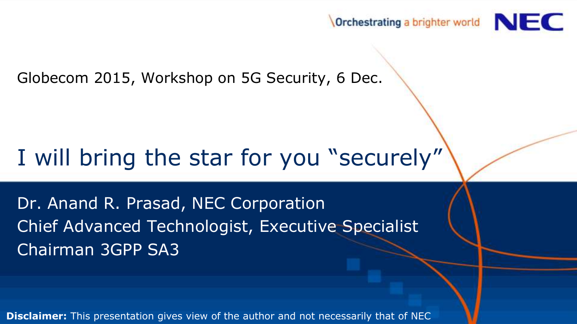

Globecom 2015, Workshop on 5G Security, 6 Dec.

## I will bring the star for you "securely"

Dr. Anand R. Prasad, NEC Corporation Chief Advanced Technologist, Executive Specialist Chairman 3GPP SA3

**Disclaimer:** This presentation gives view of the author and not necessarily that of NEC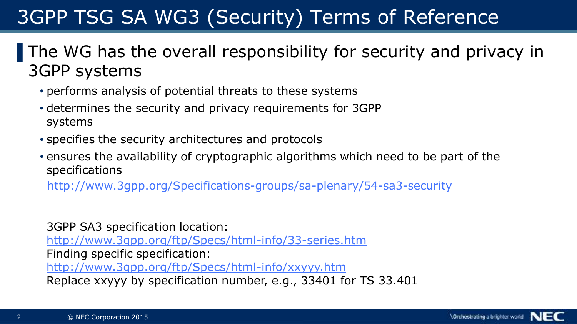#### 3GPP TSG SA WG3 (Security) Terms of Reference

The WG has the overall responsibility for security and privacy in 3GPP systems

- performs analysis of potential threats to these systems
- determines the security and privacy requirements for 3GPP systems
- specifies the security architectures and protocols
- ensures the availability of cryptographic algorithms which need to be part of the specifications

<http://www.3gpp.org/Specifications-groups/sa-plenary/54-sa3-security>

3GPP SA3 specification location: <http://www.3gpp.org/ftp/Specs/html-info/33-series.htm> Finding specific specification: <http://www.3gpp.org/ftp/Specs/html-info/xxyyy.htm> Replace xxyyy by specification number, e.g., 33401 for TS 33.401

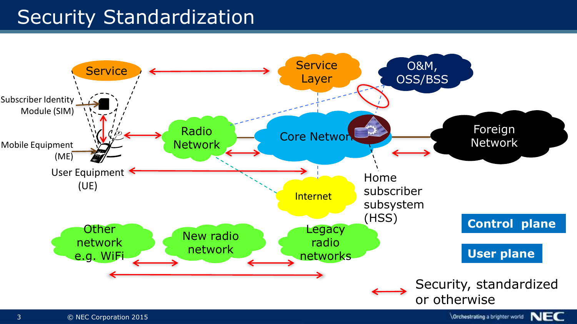#### **Security Standardization**

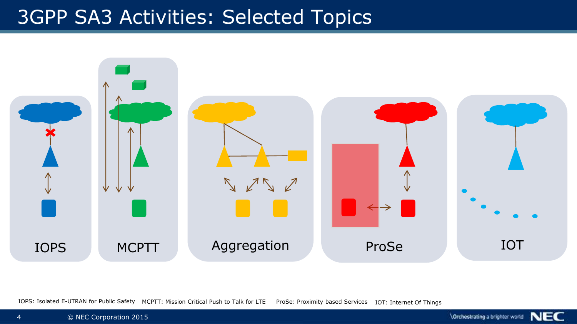#### 3GPP SA3 Activities: Selected Topics



IOPS: Isolated E-UTRAN for Public Safety MCPTT: Mission Critical Push to Talk for LTE ProSe: Proximity based Services IOT: Internet Of Things

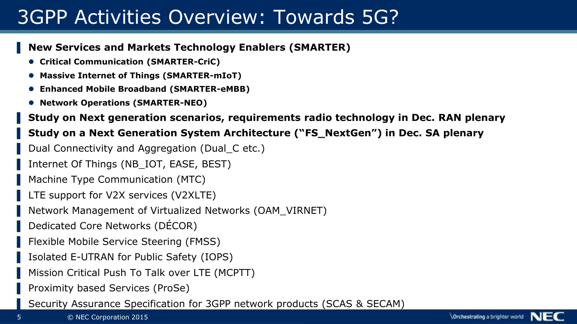#### 3GPP Activities Overview: Towards 5G?

#### ▌ **New Services and Markets Technology Enablers (SMARTER)**

- **Critical Communication (SMARTER-CriC)**
- **Massive Internet of Things (SMARTER-mIoT)**
- **Enhanced Mobile Broadband (SMARTER-eMBB)**
- **Network Operations (SMARTER-NEO)**

#### ▌ **Study on Next generation scenarios, requirements radio technology in Dec. RAN plenary**

#### ▌ **Study on a Next Generation System Architecture ("FS\_NextGen") in Dec. SA plenary**

- Dual Connectivity and Aggregation (Dual C etc.)
- Internet Of Things (NB IOT, EASE, BEST)
- Machine Type Communication (MTC)
- LTE support for V2X services (V2XLTE)
- ▌ Network Management of Virtualized Networks (OAM\_VIRNET)
- Dedicated Core Networks (DÉCOR)
- Flexible Mobile Service Steering (FMSS)
- ▌ Isolated E-UTRAN for Public Safety (IOPS)
- Mission Critical Push To Talk over LTE (MCPTT)
- ▌ Proximity based Services (ProSe)
- Security Assurance Specification for 3GPP network products (SCAS & SECAM)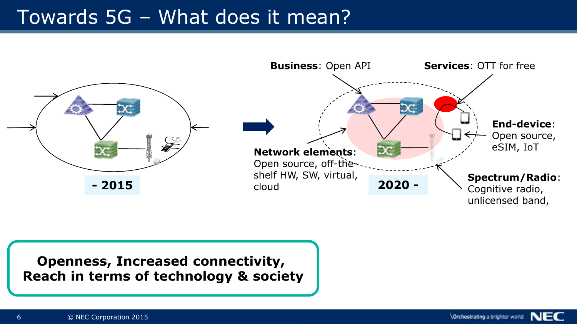#### Towards 5G – What does it mean?



**Openness, Increased connectivity, Reach in terms of technology & society**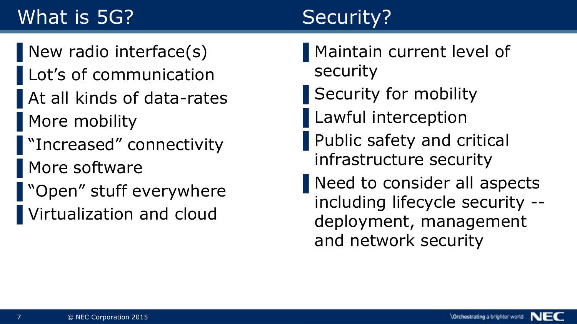### What is 5G?

## Security?

▌New radio interface(s) Lot's of communication ▌At all kinds of data-rates ▌More mobility ▌"Increased" connectivity ▌More software ■ "Open" stuff everywhere ▌Virtualization and cloud

- ▌Maintain current level of security
- ▌Security for mobility
- ▌Lawful interception
- ▌Public safety and critical infrastructure security
- ▌Need to consider all aspects including lifecycle security - deployment, management and network security

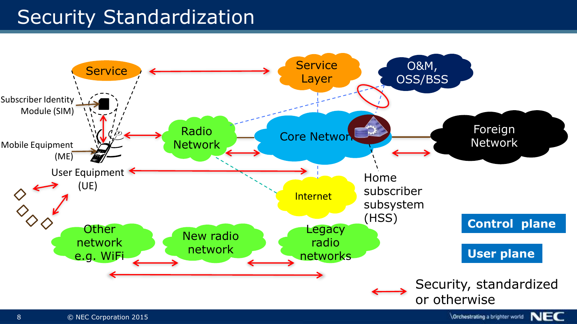#### **Security Standardization**



 $\setminus$  Orchestrating a brighter world  $\setminus$   $\cdot$   $\cdot$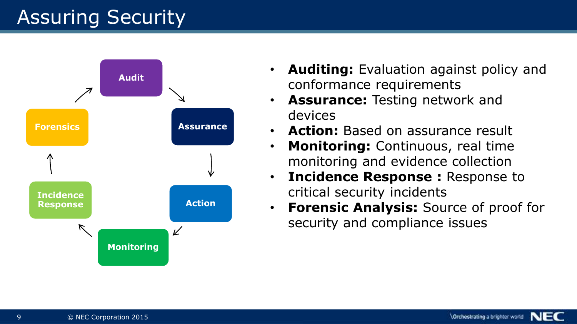#### **Assuring Security**



- **Auditing:** Evaluation against policy and conformance requirements
- **Assurance:** Testing network and devices
- **Action:** Based on assurance result
- **Monitoring:** Continuous, real time monitoring and evidence collection
- **Incidence Response :** Response to critical security incidents
- **Forensic Analysis:** Source of proof for security and compliance issues

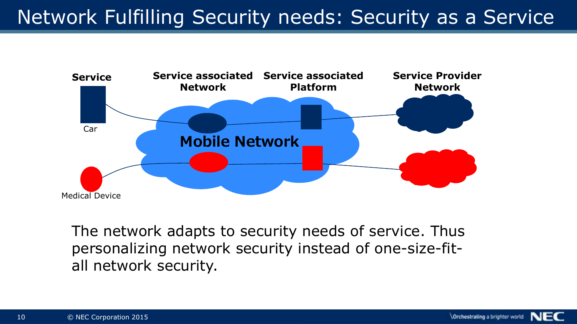#### Network Fulfilling Security needs: Security as a Service



The network adapts to security needs of service. Thus personalizing network security instead of one-size-fitall network security.

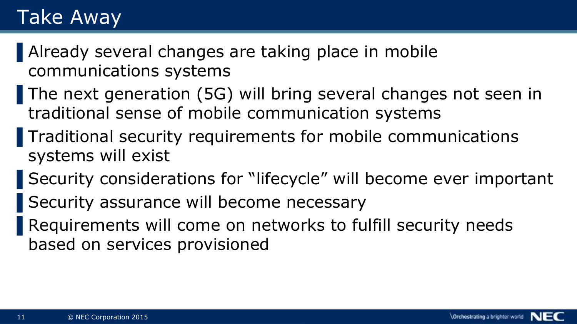#### Take Away

▌Already several changes are taking place in mobile communications systems

- The next generation (5G) will bring several changes not seen in traditional sense of mobile communication systems
- ▌Traditional security requirements for mobile communications systems will exist
- Security considerations for "lifecycle" will become ever important
- Security assurance will become necessary
- Requirements will come on networks to fulfill security needs based on services provisioned

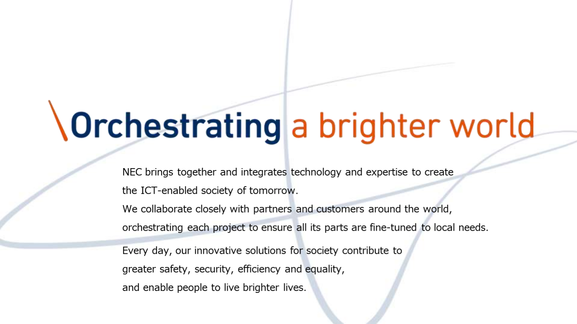## Orchestrating a brighter world

NEC brings together and integrates technology and expertise to create the ICT-enabled society of tomorrow.

We collaborate closely with partners and customers around the world, orchestrating each project to ensure all its parts are fine-tuned to local needs.

Every day, our innovative solutions for society contribute to greater safety, security, efficiency and equality, and enable people to live brighter lives.